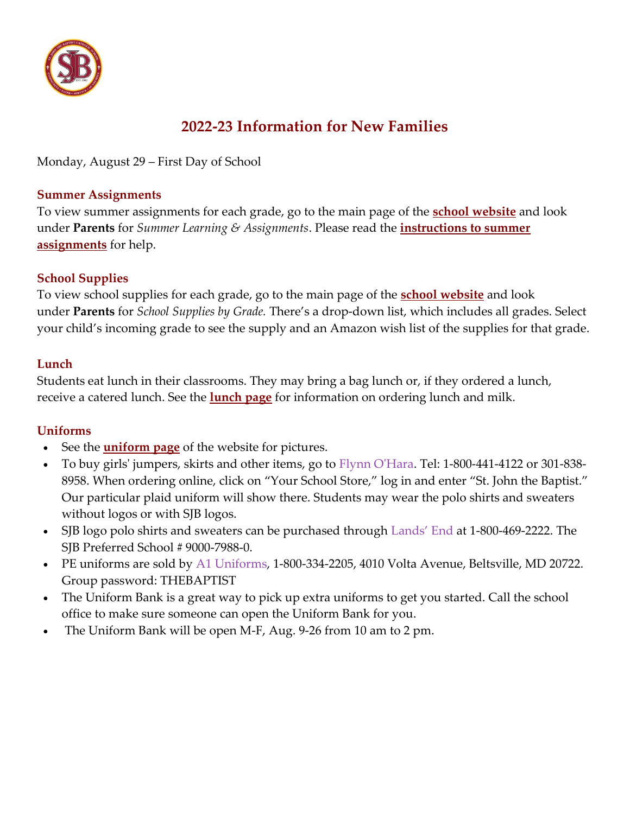

# **2022-23 Information for New Families**

Monday, August 29 – First Day of School

### **Summer Assignments**

To view summer assignments for each grade, go to the main page of the **school [website](https://www.sjbsilverspring.org/%7BCCM:BASE_URL%7D/)** and look under **Parents** for *Summer Learning & Assignments*. Please read the **[instructions to summer](https://www.sjbsilverspring.org/files/3316/5453/8828/Instructions_for_Summer_Assignments.pdf)  [assignments](https://www.sjbsilverspring.org/files/3316/5453/8828/Instructions_for_Summer_Assignments.pdf)** for help.

### **School Supplies**

To view school supplies for each grade, go to the main page of the **[school website](https://www.sjbsilverspring.org/%7BCCM:BASE_URL%7D/)** and look under **Parents** for *School Supplies by Grade.* There's a drop-down list, which includes all grades. Select your child's incoming grade to see the supply and an Amazon wish list of the supplies for that grade.

### **Lunch**

Students eat lunch in their classrooms. They may bring a bag lunch or, if they ordered a lunch, receive a catered lunch. See the **[lunch page](https://www.sjbsilverspring.org/%7BCCM:BASE_URL%7D/parents/school-lunch-information/)** for information on ordering lunch and milk.

## **[Uniforms](https://www.sjbsilverspring.org/%7BCCM:BASE_URL%7D/parents/uniform/)**

- See the **[uniform page](https://www.sjbsilverspring.org/%7BCCM:BASE_URL%7D/parents/uniform/)** of the website for pictures.
- To buy girls' jumpers, skirts and other items, go to [Flynn O'Hara.](http://www.flynnohara.com/) Tel: 1-800-441-4122 or 301-838- 8958. When ordering online, click on "Your School Store," log in and enter "St. John the Baptist." Our particular plaid uniform will show there. Students may wear the polo shirts and sweaters without logos or with SJB logos.
- SJB logo polo shirts and sweaters can be purchased through [Lands' End](http://www.landsend.com/) at 1-800-469-2222. The SJB Preferred School # 9000-7988-0.
- PE uniforms are sold by [A1 Uniforms,](https://a1uniforms.buyerssecure.com/login/account?p=true) 1-800-334-2205, 4010 Volta Avenue, Beltsville, MD 20722. Group password: THEBAPTIST
- The Uniform Bank is a great way to pick up extra uniforms to get you started. Call the school office to make sure someone can open the Uniform Bank for you.
- The Uniform Bank will be open M-F, Aug. 9-26 from 10 am to 2 pm.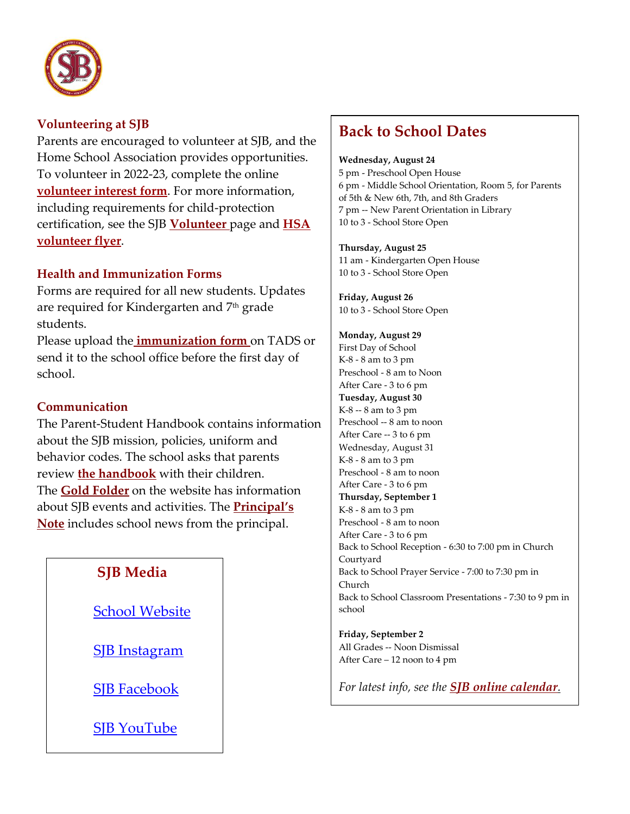

### **Volunteering at SJB**

Parents are encouraged to volunteer at SJB, and the Home School Association provides opportunities. To volunteer in 2022-23, complete the online **[volunteer interest form](https://forms.gle/iQW6cN3AK9vwhAhY7)**. For more information, including requirements for child-protection certification, see the SJB **[Volunteer](https://www.sjbsilverspring.org/%7BCCM:BASE_URL%7D/parents/volunteers/)** page and **[HSA](https://www.sjbsilverspring.org/files/7416/5469/1138/HSA_Vacancies_Flyer_2022.pdf)  [volunteer flyer](https://www.sjbsilverspring.org/files/7416/5469/1138/HSA_Vacancies_Flyer_2022.pdf)**.

### **Health and Immunization Forms**

Forms are required for all new students. Updates are required for Kindergarten and 7<sup>th</sup> grade students.

Please upload the **[immunization form](https://drive.google.com/drive/u/0/folders/0B3PQ5-lUSgKNYzE2YTM2OGEtYWI2Mi00YWQyLWEyOTctN2VmMWI2OTc3OGMz?ddrp=1&hl=en_US)** on TADS or send it to the school office before the first day of school.

### **Communication**

The Parent-Student Handbook contains information about the SJB mission, policies, uniform and behavior codes. The school asks that parents review **[the handbook](https://www.sjbsilverspring.org/%7BCCM:BASE_URL%7D/files/4116/4865/1986/SJB_Parent_Student_Handbook_2022-23.pdf)** with their children. The **[Gold Folder](https://www.sjbsilverspring.org/parents/gold-folder/)** on the website has information about SJB events and activities. The **[Principal's](https://www.sjbsilverspring.org/parents/notes/)  [Note](https://www.sjbsilverspring.org/parents/notes/)** includes school news from the principal.

## **SJB Media**

[School Website](http://sjbsilverspring.org/)

[SJB Instagram](https://www.instagram.com/sjbsilverspring/?hl=en)

[SJB Facebook](https://www.facebook.com/SJBSilverSpring/)

[SJB YouTube](https://www.youtube.com/user/sjbsilverspring)

# **Back to School Dates**

#### **Wednesday, August 24**

5 pm - Preschool Open House 6 pm - Middle School Orientation, Room 5, for Parents of 5th & New 6th, 7th, and 8th Graders 7 pm -- New Parent Orientation in Library 10 to 3 - School Store Open

#### **Thursday, August 25**

11 am - Kindergarten Open House 10 to 3 - School Store Open

**Friday, August 26** 10 to 3 - School Store Open

#### **Monday, August 29**

First Day of School K-8 - 8 am to 3 pm Preschool - 8 am to Noon After Care - 3 to 6 pm **Tuesday, August 30** K-8 -- 8 am to 3 pm Preschool -- 8 am to noon After Care -- 3 to 6 pm Wednesday, August 31 K-8 - 8 am to 3 pm Preschool - 8 am to noon After Care - 3 to 6 pm **Thursday, September 1** K-8 - 8 am to 3 pm Preschool - 8 am to noon After Care - 3 to 6 pm Back to School Reception - 6:30 to 7:00 pm in Church Courtyard Back to School Prayer Service - 7:00 to 7:30 pm in Church Back to School Classroom Presentations - 7:30 to 9 pm in school

**Friday, September 2** All Grades -- Noon Dismissal After Care – 12 noon to 4 pm

*For latest info, see the [SJB online calendar](https://calendar.google.com/calendar/embed?src=sjbsilverspring%40gmail.com&ctz=America%2FNew_York).*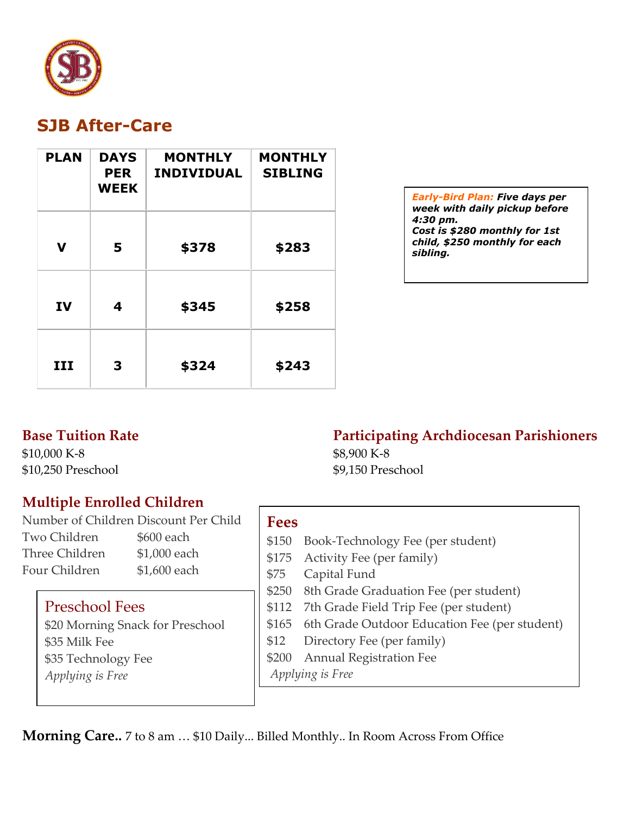

# **SJB After-Care**

| <b>PLAN</b> | <b>DAYS</b><br><b>PER</b><br><b>WEEK</b> | <b>MONTHLY</b><br><b>INDIVIDUAL</b> | <b>MONTHLY</b><br><b>SIBLING</b> |
|-------------|------------------------------------------|-------------------------------------|----------------------------------|
| $\mathbf v$ | 5                                        | \$378                               | \$283                            |
| IV          | 4                                        | \$345                               | \$258                            |
| III         | 3                                        | \$324                               | \$243                            |

*Early-Bird Plan: Five days per week with daily pickup before 4:30 pm. Cost is \$280 monthly for 1st child, \$250 monthly for each sibling.*

## **Base Tuition Rate**

\$10,000 K-8 \$10,250 Preschool

## **Multiple Enrolled Children**

Number of Children Discount Per Child Two Children \$600 each Three Children \$1,000 each Four Children \$1,600 each

## Preschool Fees

\$20 Morning Snack for Preschool \$35 Milk Fee \$35 Technology Fee *Applying is Free*

## **Fees**

- \$150 Book-Technology Fee (per student)
- \$175 Activity Fee (per family)

\$8,900 K-8

\$9,150 Preschool

- \$75 Capital Fund
- \$250 8th Grade Graduation Fee (per student)
- \$112 7th Grade Field Trip Fee (per student)
- \$165 6th Grade Outdoor Education Fee (per student)
- \$12 Directory Fee (per family)
- \$200 Annual Registration Fee

*Applying is Free*

**Morning Care..** 7 to 8 am ... \$10 Daily... Billed Monthly.. In Room Across From Office

# **Participating Archdiocesan Parishioners**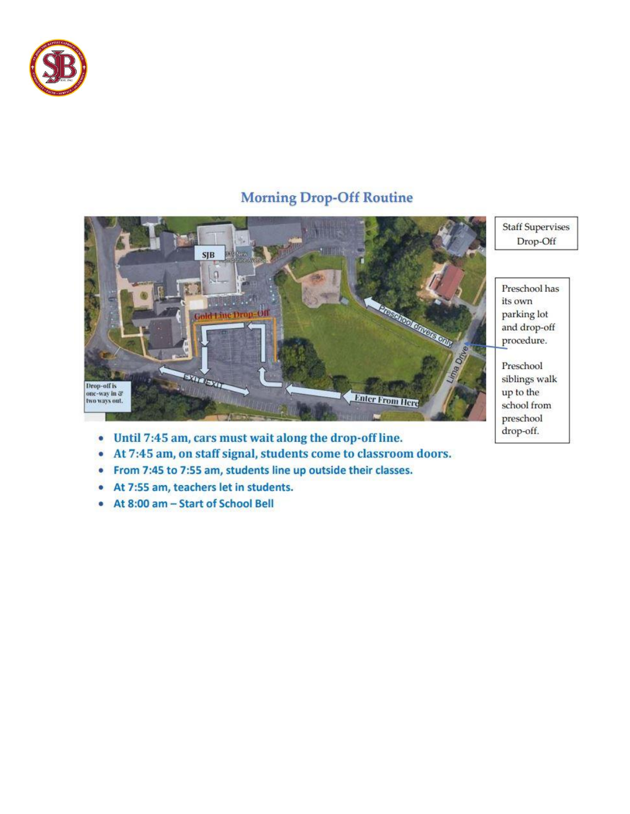

## **Morning Drop-Off Routine**



- Until 7:45 am, cars must wait along the drop-off line.  $\bullet$
- At 7:45 am, on staff signal, students come to classroom doors.  $\bullet$
- From 7:45 to 7:55 am, students line up outside their classes.  $\bullet$
- At 7:55 am, teachers let in students.  $\bullet$
- At 8:00 am Start of School Bell ۰